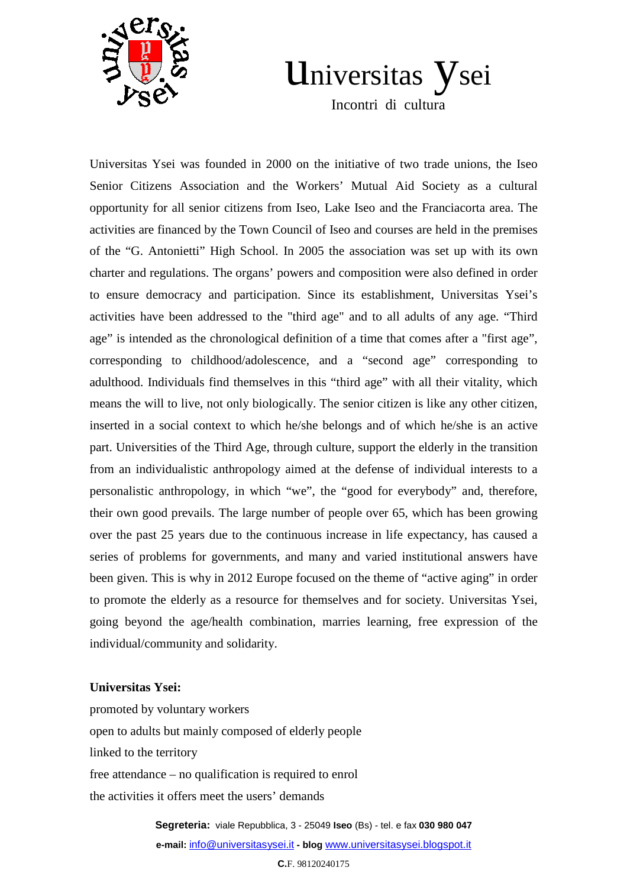

## Universitas ysei

Incontri di cultura

Universitas Ysei was founded in 2000 on the initiative of two trade unions, the Iseo Senior Citizens Association and the Workers' Mutual Aid Society as a cultural opportunity for all senior citizens from Iseo, Lake Iseo and the Franciacorta area. The activities are financed by the Town Council of Iseo and courses are held in the premises of the "G. Antonietti" High School. In 2005 the association was set up with its own charter and regulations. The organs' powers and composition were also defined in order to ensure democracy and participation. Since its establishment, Universitas Ysei's activities have been addressed to the "third age" and to all adults of any age. "Third age" is intended as the chronological definition of a time that comes after a "first age", corresponding to childhood/adolescence, and a "second age" corresponding to adulthood. Individuals find themselves in this "third age" with all their vitality, which means the will to live, not only biologically. The senior citizen is like any other citizen, inserted in a social context to which he/she belongs and of which he/she is an active part. Universities of the Third Age, through culture, support the elderly in the transition from an individualistic anthropology aimed at the defense of individual interests to a personalistic anthropology, in which "we", the "good for everybody" and, therefore, their own good prevails. The large number of people over 65, which has been growing over the past 25 years due to the continuous increase in life expectancy, has caused a series of problems for governments, and many and varied institutional answers have been given. This is why in 2012 Europe focused on the theme of "active aging" in order to promote the elderly as a resource for themselves and for society. Universitas Ysei, going beyond the age/health combination, marries learning, free expression of the individual/community and solidarity.

## **Universitas Ysei:**

promoted by voluntary workers open to adults but mainly composed of elderly people linked to the territory free attendance – no qualification is required to enrol the activities it offers meet the users' demands

> **Segreteria:** viale Repubblica, 3 - 25049 **Iseo** (Bs) - tel. e fax **030 980 047 e-mail:** info@universitasysei.it **- blog** www.universitasysei.blogspot.it

> > **C.**F. 98120240175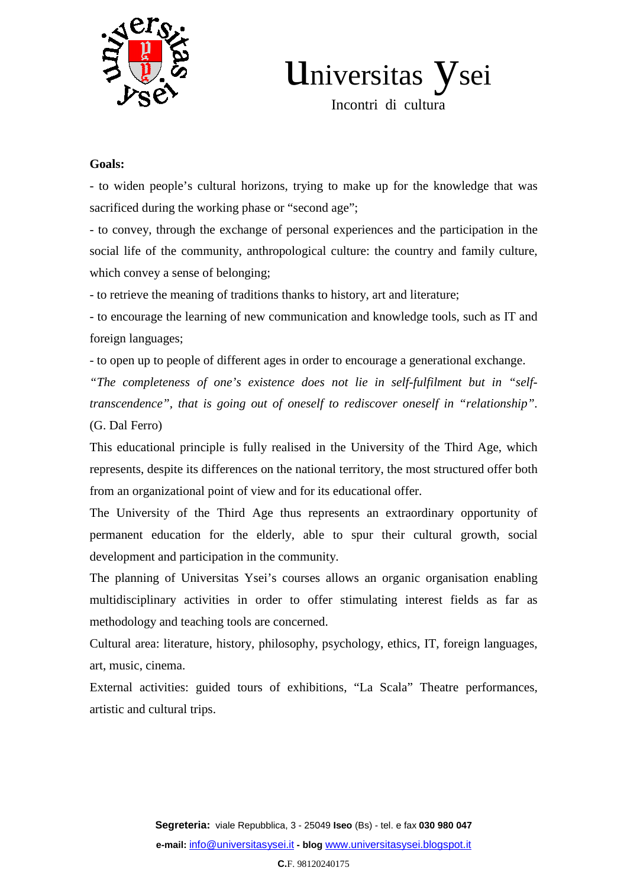

Universitas ysei

Incontri di cultura

## **Goals:**

- to widen people's cultural horizons, trying to make up for the knowledge that was sacrificed during the working phase or "second age";

- to convey, through the exchange of personal experiences and the participation in the social life of the community, anthropological culture: the country and family culture, which convey a sense of belonging;

- to retrieve the meaning of traditions thanks to history, art and literature;

- to encourage the learning of new communication and knowledge tools, such as IT and foreign languages;

- to open up to people of different ages in order to encourage a generational exchange.

*"The completeness of one's existence does not lie in self-fulfilment but in "selftranscendence", that is going out of oneself to rediscover oneself in "relationship".*  (G. Dal Ferro)

This educational principle is fully realised in the University of the Third Age, which represents, despite its differences on the national territory, the most structured offer both from an organizational point of view and for its educational offer.

The University of the Third Age thus represents an extraordinary opportunity of permanent education for the elderly, able to spur their cultural growth, social development and participation in the community.

The planning of Universitas Ysei's courses allows an organic organisation enabling multidisciplinary activities in order to offer stimulating interest fields as far as methodology and teaching tools are concerned.

Cultural area: literature, history, philosophy, psychology, ethics, IT, foreign languages, art, music, cinema.

External activities: guided tours of exhibitions, "La Scala" Theatre performances, artistic and cultural trips.